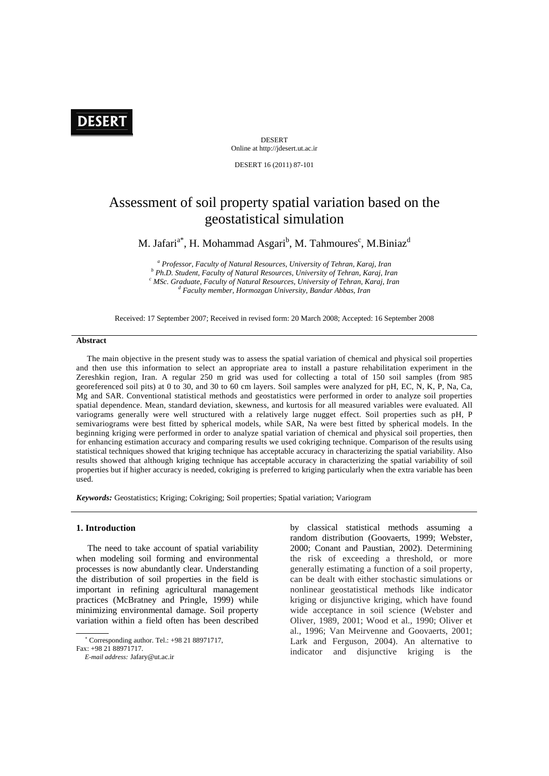

DESERT Online at http://jdesert.ut.ac.ir

DESERT 16 (2011) 87-101

# Assessment of soil property spatial variation based on the geostatistical simulation

M. Jafari $a^*$ , H. Mohammad Asgari $^b$ , M. Tahmoures $^c$ , M.Biniaz $^d$ 

<sup>a</sup> Professor, Faculty of Natural Resources, University of Tehran, Karaj, Iran *b* Dk D. Student Faculty of Natural Because Mainwrite of Tehran, Karaj, Iran  *Ph.D. Student, Faculty of Natural Resources, University of Tehran, Karaj, Iran c* <sup>c</sup> MSc. Graduate, Faculty of Natural Resources, University of Tehran, Karaj, Iran  *Faculty member, Hormozgan University, Bandar Abbas, Iran* 

Received: 17 September 2007; Received in revised form: 20 March 2008; Accepted: 16 September 2008

# **Abstract**

 The main objective in the present study was to assess the spatial variation of chemical and physical soil properties and then use this information to select an appropriate area to install a pasture rehabilitation experiment in the Zereshkin region, Iran. A regular 250 m grid was used for collecting a total of 150 soil samples (from 985 georeferenced soil pits) at 0 to 30, and 30 to 60 cm layers. Soil samples were analyzed for pH, EC, N, K, P, Na, Ca, Mg and SAR. Conventional statistical methods and geostatistics were performed in order to analyze soil properties spatial dependence. Mean, standard deviation, skewness, and kurtosis for all measured variables were evaluated. All variograms generally were well structured with a relatively large nugget effect. Soil properties such as pH, P semivariograms were best fitted by spherical models, while SAR, Na were best fitted by spherical models. In the beginning kriging were performed in order to analyze spatial variation of chemical and physical soil properties, then for enhancing estimation accuracy and comparing results we used cokriging technique. Comparison of the results using statistical techniques showed that kriging technique has acceptable accuracy in characterizing the spatial variability. Also results showed that although kriging technique has acceptable accuracy in characterizing the spatial variability of soil properties but if higher accuracy is needed, cokriging is preferred to kriging particularly when the extra variable has been used.

*Keywords:* Geostatistics; Kriging; Cokriging; Soil properties; Spatial variation; Variogram

## **1. Introduction**

 The need to take account of spatial variability when modeling soil forming and environmental processes is now abundantly clear. Understanding the distribution of soil properties in the field is important in refining agricultural management practices (McBratney and Pringle, 1999) while minimizing environmental damage. Soil property variation within a field often has been described

by classical statistical methods assuming a random distribution (Goovaerts, 1999; Webster, 2000; Conant and Paustian, 2002). Determining the risk of exceeding a threshold, or more generally estimating a function of a soil property, can be dealt with either stochastic simulations or nonlinear geostatistical methods like indicator kriging or disjunctive kriging, which have found wide acceptance in soil science (Webster and Oliver, 1989, 2001; Wood et al., 1990; Oliver et al., 1996; Van Meirvenne and Goovaerts, 2001; Lark and Ferguson, 2004). An alternative to indicator and disjunctive kriging is the

 Corresponding author. Tel.: +98 21 88971717,

Fax: +98 21 88971717.

*E-mail address:* Jafary@ut.ac.ir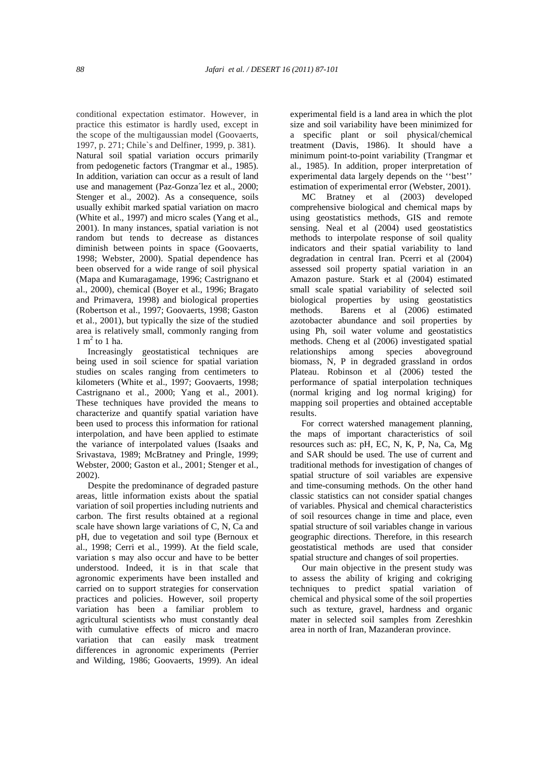conditional expectation estimator. However, in practice this estimator is hardly used, except in the scope of the multigaussian model (Goovaerts, 1997, p. 271; Chile`s and Delfiner, 1999, p. 381). Natural soil spatial variation occurs primarily from pedogenetic factors (Trangmar et al., 1985). In addition, variation can occur as a result of land use and management (Paz-Gonza´lez et al., 2000; Stenger et al., 2002). As a consequence, soils usually exhibit marked spatial variation on macro (White et al., 1997) and micro scales (Yang et al., 2001). In many instances, spatial variation is not random but tends to decrease as distances diminish between points in space (Goovaerts, 1998; Webster, 2000). Spatial dependence has been observed for a wide range of soil physical (Mapa and Kumaragamage, 1996; Castrignano et al., 2000), chemical (Boyer et al., 1996; Bragato and Primavera, 1998) and biological properties (Robertson et al., 1997; Goovaerts, 1998; Gaston et al., 2001), but typically the size of the studied area is relatively small, commonly ranging from  $1 \text{ m}^2$  to 1 ha.

 Increasingly geostatistical techniques are being used in soil science for spatial variation studies on scales ranging from centimeters to kilometers (White et al., 1997; Goovaerts, 1998; Castrignano et al., 2000; Yang et al., 2001). These techniques have provided the means to characterize and quantify spatial variation have been used to process this information for rational interpolation, and have been applied to estimate the variance of interpolated values (Isaaks and Srivastava, 1989; McBratney and Pringle, 1999; Webster, 2000; Gaston et al., 2001; Stenger et al., 2002).

 Despite the predominance of degraded pasture areas, little information exists about the spatial variation of soil properties including nutrients and carbon. The first results obtained at a regional scale have shown large variations of C, N, Ca and pH, due to vegetation and soil type (Bernoux et al., 1998; Cerri et al., 1999). At the field scale, variation s may also occur and have to be better understood. Indeed, it is in that scale that agronomic experiments have been installed and carried on to support strategies for conservation practices and policies. However, soil property variation has been a familiar problem to agricultural scientists who must constantly deal with cumulative effects of micro and macro variation that can easily mask treatment differences in agronomic experiments (Perrier and Wilding, 1986; Goovaerts, 1999). An ideal experimental field is a land area in which the plot size and soil variability have been minimized for a specific plant or soil physical/chemical treatment (Davis, 1986). It should have a minimum point-to-point variability (Trangmar et al., 1985). In addition, proper interpretation of experimental data largely depends on the ''best'' estimation of experimental error (Webster, 2001).

 MC Bratney et al (2003) developed comprehensive biological and chemical maps by using geostatistics methods, GIS and remote sensing. Neal et al (2004) used geostatistics methods to interpolate response of soil quality indicators and their spatial variability to land degradation in central Iran. Pcerri et al (2004) assessed soil property spatial variation in an Amazon pasture. Stark et al (2004) estimated small scale spatial variability of selected soil biological properties by using geostatistics methods. Barens et al (2006) estimated azotobacter abundance and soil properties by using Ph, soil water volume and geostatistics methods. Cheng et al (2006) investigated spatial relationships among species aboveground biomass, N, P in degraded grassland in ordos Plateau. Robinson et al (2006) tested the performance of spatial interpolation techniques (normal kriging and log normal kriging) for mapping soil properties and obtained acceptable results.

 For correct watershed management planning, the maps of important characteristics of soil resources such as: pH, EC, N, K, P, Na, Ca, Mg and SAR should be used. The use of current and traditional methods for investigation of changes of spatial structure of soil variables are expensive and time-consuming methods. On the other hand classic statistics can not consider spatial changes of variables. Physical and chemical characteristics of soil resources change in time and place, even spatial structure of soil variables change in various geographic directions. Therefore, in this research geostatistical methods are used that consider spatial structure and changes of soil properties.

 Our main objective in the present study was to assess the ability of kriging and cokriging techniques to predict spatial variation of chemical and physical some of the soil properties such as texture, gravel, hardness and organic mater in selected soil samples from Zereshkin area in north of Iran, Mazanderan province.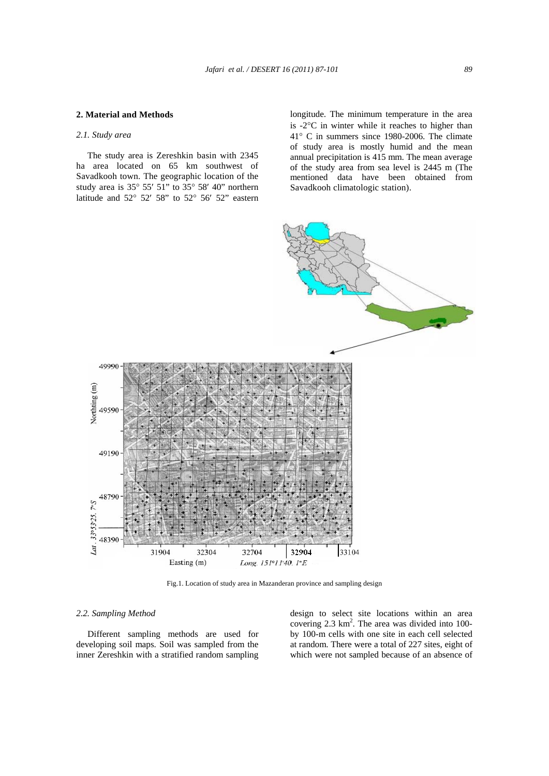# **2. Material and Methods**

# *2.1. Study area*

 The study area is Zereshkin basin with 2345 ha area located on 65 km southwest of Savadkooh town. The geographic location of the study area is  $35^{\circ}$  55' 51" to  $35^{\circ}$  58' 40" northern latitude and  $52^{\circ}$   $52'$   $58''$  to  $52^{\circ}$   $56'$   $52''$  eastern

longitude. The minimum temperature in the area is  $-2$ <sup>o</sup>C in winter while it reaches to higher than  $41^{\circ}$  C in summers since 1980-2006. The climate of study area is mostly humid and the mean annual precipitation is 415 mm. The mean average of the study area from sea level is 2445 m (The mentioned data have been obtained from Savadkooh climatologic station).



Fig.1. Location of study area in Mazanderan province and sampling design

# *2.2. Sampling Method*

 Different sampling methods are used for developing soil maps. Soil was sampled from the inner Zereshkin with a stratified random sampling design to select site locations within an area covering 2.3 km<sup>2</sup>. The area was divided into 100by 100-m cells with one site in each cell selected at random. There were a total of 227 sites, eight of which were not sampled because of an absence of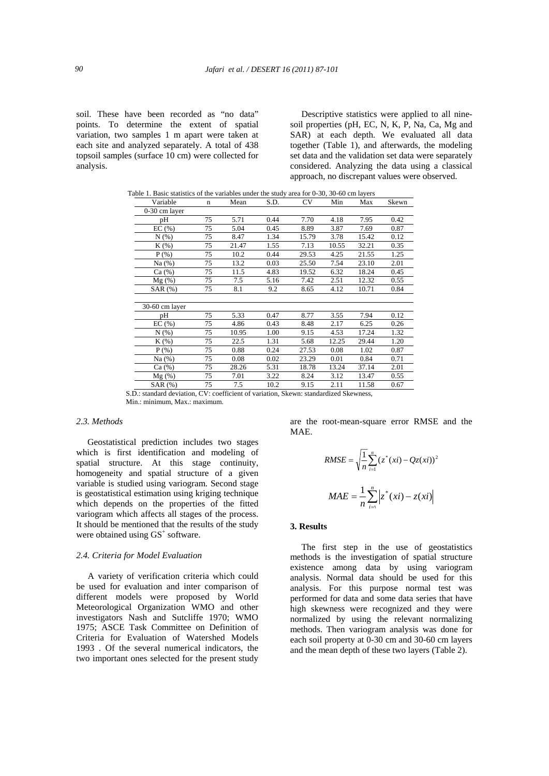soil. These have been recorded as "no data" points. To determine the extent of spatial variation, two samples 1 m apart were taken at each site and analyzed separately. A total of 438 topsoil samples (surface 10 cm) were collected for analysis.

 Descriptive statistics were applied to all ninesoil properties (pH, EC, N, K, P, Na, Ca, Mg and SAR) at each depth. We evaluated all data together (Table 1), and afterwards, the modeling set data and the validation set data were separately considered. Analyzing the data using a classical approach, no discrepant values were observed.

|                | Table 1. Basic statistics of the variables under the study area for 0-30, 30-60 cm layers |       |      |           |       |       |       |  |
|----------------|-------------------------------------------------------------------------------------------|-------|------|-----------|-------|-------|-------|--|
| Variable       | n                                                                                         | Mean  | S.D. | <b>CV</b> | Min   | Max   | Skewn |  |
| 0-30 cm layer  |                                                                                           |       |      |           |       |       |       |  |
| pH             | 75                                                                                        | 5.71  | 0.44 | 7.70      | 4.18  | 7.95  | 0.42  |  |
| EC(%)          | 75                                                                                        | 5.04  | 0.45 | 8.89      | 3.87  | 7.69  | 0.87  |  |
| N(% )          | 75                                                                                        | 8.47  | 1.34 | 15.79     | 3.78  | 15.42 | 0.12  |  |
| $K(\%)$        | 75                                                                                        | 21.47 | 1.55 | 7.13      | 10.55 | 32.21 | 0.35  |  |
| $P$ (%)        | 75                                                                                        | 10.2  | 0.44 | 29.53     | 4.25  | 21.55 | 1.25  |  |
| Na(%)          | 75                                                                                        | 13.2  | 0.03 | 25.50     | 7.54  | 23.10 | 2.01  |  |
| Ca (%)         | 75                                                                                        | 11.5  | 4.83 | 19.52     | 6.32  | 18.24 | 0.45  |  |
| $Mg(\%)$       | 75                                                                                        | 7.5   | 5.16 | 7.42      | 2.51  | 12.32 | 0.55  |  |
| SAR(%)         | 75                                                                                        | 8.1   | 9.2  | 8.65      | 4.12  | 10.71 | 0.84  |  |
|                |                                                                                           |       |      |           |       |       |       |  |
| 30-60 cm layer |                                                                                           |       |      |           |       |       |       |  |
| pН             | 75                                                                                        | 5.33  | 0.47 | 8.77      | 3.55  | 7.94  | 0.12  |  |
| EC(%)          | 75                                                                                        | 4.86  | 0.43 | 8.48      | 2.17  | 6.25  | 0.26  |  |
| N(% )          | 75                                                                                        | 10.95 | 1.00 | 9.15      | 4.53  | 17.24 | 1.32  |  |
| $K(\%)$        | 75                                                                                        | 22.5  | 1.31 | 5.68      | 12.25 | 29.44 | 1.20  |  |
| $P$ (%)        | 75                                                                                        | 0.88  | 0.24 | 27.53     | 0.08  | 1.02  | 0.87  |  |
| Na(%)          | 75                                                                                        | 0.08  | 0.02 | 23.29     | 0.01  | 0.84  | 0.71  |  |
| Ca (%)         | 75                                                                                        | 28.26 | 5.31 | 18.78     | 13.24 | 37.14 | 2.01  |  |
| $Mg(\%)$       | 75                                                                                        | 7.01  | 3.22 | 8.24      | 3.12  | 13.47 | 0.55  |  |
| SAR(%)         | 75                                                                                        | 7.5   | 10.2 | 9.15      | 2.11  | 11.58 | 0.67  |  |

 S.D.: standard deviation, CV: coefficient of variation, Skewn: standardized Skewness, Min.: minimum, Max.: maximum.

## *2.3. Methods*

 Geostatistical prediction includes two stages which is first identification and modeling of spatial structure. At this stage continuity, homogeneity and spatial structure of a given variable is studied using variogram. Second stage is geostatistical estimation using kriging technique which depends on the properties of the fitted variogram which affects all stages of the process. It should be mentioned that the results of the study were obtained using  $GS^+$  software.

#### *2.4. Criteria for Model Evaluation*

 A variety of verification criteria which could be used for evaluation and inter comparison of different models were proposed by World Meteorological Organization WMO and other investigators Nash and Sutcliffe 1970; WMO 1975; ASCE Task Committee on Definition of Criteria for Evaluation of Watershed Models 1993 . Of the several numerical indicators, the two important ones selected for the present study

are the root-mean-square error RMSE and the MAE.

RMSE = 
$$
\sqrt{\frac{1}{n}} \sum_{i=1}^{n} (z^*(xi) - Qz(xi))^2
$$
  
MAE =  $\frac{1}{n} \sum_{i=1}^{n} |z^*(xi) - z(xi)|$ 

## **3. Results**

 The first step in the use of geostatistics methods is the investigation of spatial structure existence among data by using variogram analysis. Normal data should be used for this analysis. For this purpose normal test was performed for data and some data series that have high skewness were recognized and they were normalized by using the relevant normalizing methods. Then variogram analysis was done for each soil property at 0-30 cm and 30-60 cm layers and the mean depth of these two layers (Table 2).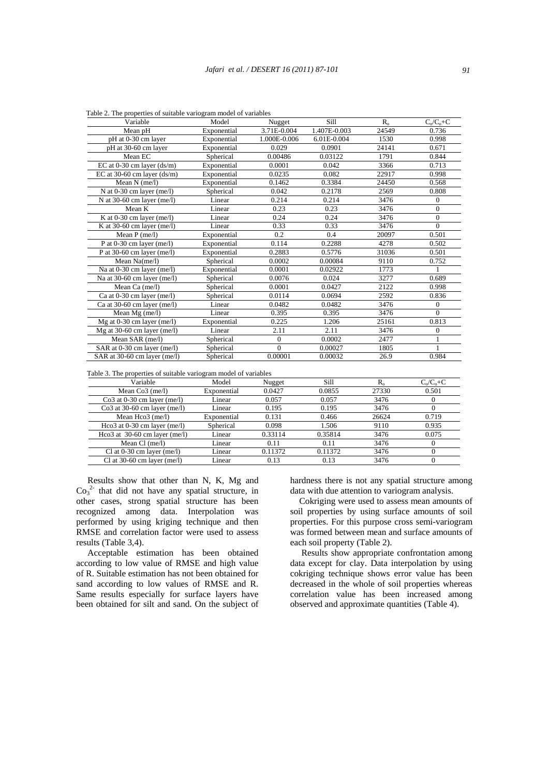| Variable                       | Model       | Nugget       | Sill         | $R_{o}$ | $C_o/C_o+C$  |
|--------------------------------|-------------|--------------|--------------|---------|--------------|
| Mean pH                        | Exponential | 3.71E-0.004  | 1.407E-0.003 | 24549   | 0.736        |
| pH at 0-30 cm layer            | Exponential | 1.000E-0.006 | 6.01E-0.004  | 1530    | 0.998        |
| pH at 30-60 cm layer           | Exponential | 0.029        | 0.0901       | 24141   | 0.671        |
| Mean EC                        | Spherical   | 0.00486      | 0.03122      | 1791    | 0.844        |
| EC at $0-30$ cm layer $(ds/m)$ | Exponential | 0.0001       | 0.042        | 3366    | 0.713        |
| EC at 30-60 cm layer $(ds/m)$  | Exponential | 0.0235       | 0.082        | 22917   | 0.998        |
| Mean $N$ (me/l)                | Exponential | 0.1462       | 0.3384       | 24450   | 0.568        |
| N at $0-30$ cm layer (me/l)    | Spherical   | 0.042        | 0.2178       | 2569    | 0.808        |
| N at 30-60 cm layer (me/l)     | Linear      | 0.214        | 0.214        | 3476    | $\Omega$     |
| Mean K                         | Linear      | 0.23         | 0.23         | 3476    | $\mathbf{0}$ |
| K at $0-30$ cm layer (me/l)    | Linear      | 0.24         | 0.24         | 3476    | $\mathbf{0}$ |
| K at $30-60$ cm layer (me/l)   | Linear      | 0.33         | 0.33         | 3476    | $\Omega$     |
| Mean $P$ (me/l)                | Exponential | 0.2          | 0.4          | 20097   | 0.501        |
| P at $0-30$ cm layer (me/l)    | Exponential | 0.114        | 0.2288       | 4278    | 0.502        |
| P at 30-60 cm layer (me/l)     | Exponential | 0.2883       | 0.5776       | 31036   | 0.501        |
| Mean Na(me/l)                  | Spherical   | 0.0002       | 0.00084      | 9110    | 0.752        |
| Na at 0-30 cm layer (me/l)     | Exponential | 0.0001       | 0.02922      | 1773    |              |
| Na at 30-60 cm layer (me/l)    | Spherical   | 0.0076       | 0.024        | 3277    | 0.689        |
| Mean Ca $(me/l)$               | Spherical   | 0.0001       | 0.0427       | 2122    | 0.998        |
| Ca at $0-30$ cm layer (me/l)   | Spherical   | 0.0114       | 0.0694       | 2592    | 0.836        |
| Ca at 30-60 cm layer (me/l)    | Linear      | 0.0482       | 0.0482       | 3476    | $\mathbf{0}$ |
| Mean $Mg$ (me/l)               | Linear      | 0.395        | 0.395        | 3476    | $\Omega$     |
| Mg at $0-30$ cm layer (me/l)   | Exponential | 0.225        | 1.206        | 25161   | 0.813        |
| Mg at $30-60$ cm layer (me/l)  | Linear      | 2.11         | 2.11         | 3476    | $\mathbf{0}$ |
| Mean SAR (me/l)                | Spherical   | $\mathbf{0}$ | 0.0002       | 2477    |              |
| SAR at 0-30 cm layer (me/l)    | Spherical   | $\Omega$     | 0.00027      | 1805    | 1            |
| SAR at 30-60 cm layer (me/l)   | Spherical   | 0.00001      | 0.00032      | 26.9    | 0.984        |

Table 2. The properties of suitable variogram model of variables

Table 3. The properties of suitable variogram model of variables

| Variable                        | Model       | Nugget  | Sill    | $R_{\circ}$ | $C_o/C_o+C$ |
|---------------------------------|-------------|---------|---------|-------------|-------------|
| Mean $Co3$ (me/l)               | Exponential | 0.0427  | 0.0855  | 27330       | 0.501       |
| $Co3$ at 0-30 cm layer (me/l)   | Linear      | 0.057   | 0.057   | 3476        |             |
| $Co3$ at 30-60 cm layer (me/l)  | Linear      | 0.195   | 0.195   | 3476        |             |
| Mean Hco3 (me/l)                | Exponential | 0.131   | 0.466   | 26624       | 0.719       |
| Hco3 at $0-30$ cm layer (me/l)  | Spherical   | 0.098   | 1.506   | 9110        | 0.935       |
| Hco3 at $30-60$ cm layer (me/l) | Linear      | 0.33114 | 0.35814 | 3476        | 0.075       |
| Mean $Cl$ (me/l)                | Linear      | 0.11    | 0.11    | 3476        |             |
| Cl at $0-30$ cm layer (me/l)    | Linear      | 0.11372 | 0.11372 | 3476        |             |
| Cl at $30-60$ cm layer (me/l)   | Linear      | 0.13    | 0.13    | 3476        |             |

 Results show that other than N, K, Mg and  $\text{Co}_3^2$  that did not have any spatial structure, in other cases, strong spatial structure has been recognized among data. Interpolation was performed by using kriging technique and then RMSE and correlation factor were used to assess results (Table 3,4).

 Acceptable estimation has been obtained according to low value of RMSE and high value of R. Suitable estimation has not been obtained for sand according to low values of RMSE and R. Same results especially for surface layers have been obtained for silt and sand. On the subject of hardness there is not any spatial structure among data with due attention to variogram analysis.

 Cokriging were used to assess mean amounts of soil properties by using surface amounts of soil properties. For this purpose cross semi-variogram was formed between mean and surface amounts of each soil property (Table 2).

 Results show appropriate confrontation among data except for clay. Data interpolation by using cokriging technique shows error value has been decreased in the whole of soil properties whereas correlation value has been increased among observed and approximate quantities (Table 4).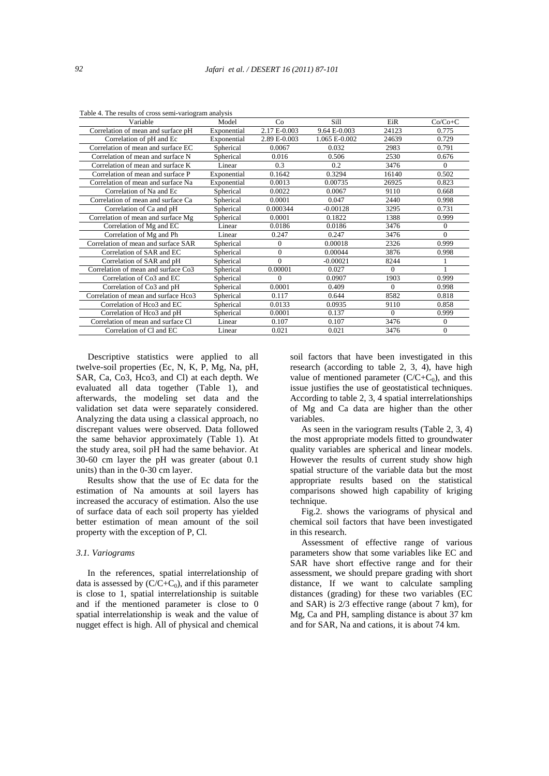| Variable                             | Model       | Co           | Sill          | EiR      | $Co/Co+C$      |
|--------------------------------------|-------------|--------------|---------------|----------|----------------|
| Correlation of mean and surface pH   | Exponential | 2.17 E-0.003 | 9.64 E-0.003  | 24123    | 0.775          |
| Correlation of pH and Ec             | Exponential | 2.89 E-0.003 | 1.065 E-0.002 | 24639    | 0.729          |
| Correlation of mean and surface EC   | Spherical   | 0.0067       | 0.032         | 2983     | 0.791          |
| Correlation of mean and surface N    | Spherical   | 0.016        | 0.506         | 2530     | 0.676          |
| Correlation of mean and surface K    | Linear      | 0.3          | 0.2           | 3476     | $\Omega$       |
| Correlation of mean and surface P    | Exponential | 0.1642       | 0.3294        | 16140    | 0.502          |
| Correlation of mean and surface Na   | Exponential | 0.0013       | 0.00735       | 26925    | 0.823          |
| Correlation of Na and Ec             | Spherical   | 0.0022       | 0.0067        | 9110     | 0.668          |
| Correlation of mean and surface Ca   | Spherical   | 0.0001       | 0.047         | 2440     | 0.998          |
| Correlation of Ca and pH             | Spherical   | 0.000344     | $-0.00128$    | 3295     | 0.731          |
| Correlation of mean and surface Mg   | Spherical   | 0.0001       | 0.1822        | 1388     | 0.999          |
| Correlation of Mg and EC             | Linear      | 0.0186       | 0.0186        | 3476     | $\overline{0}$ |
| Correlation of Mg and Ph             | Linear      | 0.247        | 0.247         | 3476     | $\theta$       |
| Correlation of mean and surface SAR  | Spherical   | $\mathbf{0}$ | 0.00018       | 2326     | 0.999          |
| Correlation of SAR and EC            | Spherical   | $\Omega$     | 0.00044       | 3876     | 0.998          |
| Correlation of SAR and pH            | Spherical   | $\Omega$     | $-0.00021$    | 8244     |                |
| Correlation of mean and surface Co3  | Spherical   | 0.00001      | 0.027         | $\Omega$ |                |
| Correlation of Co3 and EC            | Spherical   | $\Omega$     | 0.0907        | 1903     | 0.999          |
| Correlation of Co3 and pH            | Spherical   | 0.0001       | 0.409         | $\Omega$ | 0.998          |
| Correlation of mean and surface Hco3 | Spherical   | 0.117        | 0.644         | 8582     | 0.818          |
| Correlation of Hco3 and EC           | Spherical   | 0.0133       | 0.0935        | 9110     | 0.858          |
| Correlation of Hco3 and pH           | Spherical   | 0.0001       | 0.137         | $\Omega$ | 0.999          |
| Correlation of mean and surface Cl   | Linear      | 0.107        | 0.107         | 3476     | 0              |
| Correlation of Cl and EC             | Linear      | 0.021        | 0.021         | 3476     | $\overline{0}$ |

Table 4. The results of cross semi-variogram analysis

 Descriptive statistics were applied to all twelve-soil properties (Ec, N, K, P, Mg, Na, pH, SAR, Ca, Co3, Hco3, and Cl) at each depth. We evaluated all data together (Table 1), and afterwards, the modeling set data and the validation set data were separately considered. Analyzing the data using a classical approach, no discrepant values were observed. Data followed the same behavior approximately (Table 1). At the study area, soil pH had the same behavior. At 30-60 cm layer the pH was greater (about 0.1 units) than in the 0-30 cm layer.

 Results show that the use of Ec data for the estimation of Na amounts at soil layers has increased the accuracy of estimation. Also the use of surface data of each soil property has yielded better estimation of mean amount of the soil property with the exception of P, Cl.

#### *3.1. Variograms*

 In the references, spatial interrelationship of data is assessed by  $(C/C+C_0)$ , and if this parameter is close to 1, spatial interrelationship is suitable and if the mentioned parameter is close to 0 spatial interrelationship is weak and the value of nugget effect is high. All of physical and chemical

soil factors that have been investigated in this research (according to table 2, 3, 4), have high value of mentioned parameter  $(C/C+C_0)$ , and this issue justifies the use of geostatistical techniques. According to table 2, 3, 4 spatial interrelationships of Mg and Ca data are higher than the other variables.

 As seen in the variogram results (Table 2, 3, 4) the most appropriate models fitted to groundwater quality variables are spherical and linear models. However the results of current study show high spatial structure of the variable data but the most appropriate results based on the statistical comparisons showed high capability of kriging technique.

 Fig.2. shows the variograms of physical and chemical soil factors that have been investigated in this research.

 Assessment of effective range of various parameters show that some variables like EC and SAR have short effective range and for their assessment, we should prepare grading with short distance, If we want to calculate sampling distances (grading) for these two variables (EC and SAR) is 2/3 effective range (about 7 km), for Mg, Ca and PH, sampling distance is about 37 km and for SAR, Na and cations, it is about 74 km.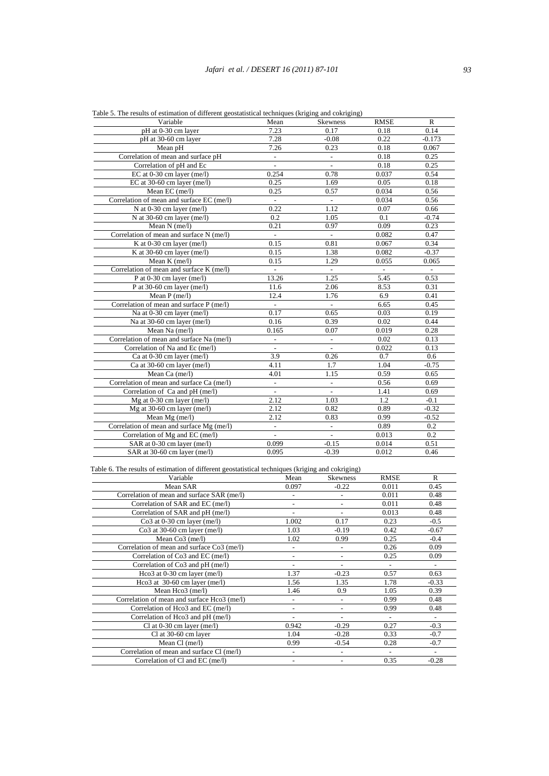| Variable                                  | Mean                      | <b>Skewness</b>          | <b>RMSE</b>    | R                        |
|-------------------------------------------|---------------------------|--------------------------|----------------|--------------------------|
| pH at 0-30 cm layer                       | 7.23                      | 0.17                     | 0.18           | 0.14                     |
| pH at 30-60 cm layer                      | 7.28                      | $-0.08$                  | 0.22           | $-0.173$                 |
| Mean pH                                   | 7.26                      | 0.23                     | 0.18           | 0.067                    |
| Correlation of mean and surface pH        | ÷.                        | $\overline{\phantom{a}}$ | 0.18           | 0.25                     |
| Correlation of pH and Ec                  | ÷,                        | $\overline{\phantom{a}}$ | 0.18           | 0.25                     |
| EC at $0-30$ cm layer (me/l)              | 0.254                     | 0.78                     | 0.037          | 0.54                     |
| EC at $30-60$ cm layer (me/l)             | 0.25                      | 1.69                     | 0.05           | 0.18                     |
| Mean EC $(me/l)$                          | 0.25                      | 0.57                     | 0.034          | 0.56                     |
| Correlation of mean and surface EC (me/l) | $\mathbb{Z}^{\mathbb{Z}}$ | $\mathcal{L}^{\pm}$      | 0.034          | 0.56                     |
| N at $0-30$ cm layer (me/l)               | 0.22                      | 1.12                     | 0.07           | 0.66                     |
| N at 30-60 cm layer (me/l)                | 0.2                       | 1.05                     | 0.1            | $-0.74$                  |
| Mean N (me/l)                             | 0.21                      | 0.97                     | 0.09           | 0.23                     |
| Correlation of mean and surface N (me/l)  |                           | $\overline{\phantom{a}}$ | 0.082          | 0.47                     |
| K at $0-30$ cm layer (me/l)               | 0.15                      | 0.81                     | 0.067          | 0.34                     |
| K at 30-60 cm layer (me/l)                | 0.15                      | 1.38                     | 0.082          | $-0.37$                  |
| Mean $K$ (me/l)                           | 0.15                      | 1.29                     | 0.055          | 0.065                    |
| Correlation of mean and surface K (me/l)  | ÷.                        | $\overline{a}$           | $\overline{a}$ | $\overline{\phantom{a}}$ |
| P at 0-30 cm layer (me/l)                 | 13.26                     | 1.25                     | 5.45           | 0.53                     |
| P at 30-60 cm layer (me/l)                | 11.6                      | 2.06                     | 8.53           | 0.31                     |
| Mean $P$ (me/l)                           | 12.4                      | 1.76                     | 6.9            | 0.41                     |
| Correlation of mean and surface P (me/l)  | $\overline{\phantom{a}}$  | $\blacksquare$           | 6.65           | 0.45                     |
| Na at 0-30 cm layer (me/l)                | 0.17                      | 0.65                     | 0.03           | 0.19                     |
| Na at 30-60 cm layer (me/l)               | 0.16                      | 0.39                     | 0.02           | 0.44                     |
| Mean Na (me/l)                            | 0.165                     | 0.07                     | 0.019          | 0.28                     |
| Correlation of mean and surface Na (me/l) | $\overline{a}$            | $\frac{1}{2}$            | 0.02           | 0.13                     |
| Correlation of Na and Ec (me/l)           | $\overline{\phantom{a}}$  | $\overline{\phantom{a}}$ | 0.022          | 0.13                     |
| Ca at 0-30 cm layer (me/l)                | 3.9                       | 0.26                     | 0.7            | 0.6                      |
| Ca at $30-60$ cm layer (me/l)             | 4.11                      | 1.7                      | 1.04           | $-0.75$                  |
| Mean Ca (me/l)                            | 4.01                      | 1.15                     | 0.59           | 0.65                     |
| Correlation of mean and surface Ca (me/l) | $\overline{a}$            | $\overline{a}$           | 0.56           | 0.69                     |
| Correlation of Ca and pH (me/l)           | $\overline{\phantom{a}}$  | $\overline{\phantom{a}}$ | 1.41           | 0.69                     |
| Mg at $0-30$ cm layer (me/l)              | 2.12                      | 1.03                     | 1.2            | $-0.1$                   |
| Mg at $30-60$ cm layer (me/l)             | 2.12                      | 0.82                     | 0.89           | $-0.32$                  |
| Mean $Mg$ (me/l)                          | 2.12                      | 0.83                     | 0.99           | $-0.52$                  |
| Correlation of mean and surface Mg (me/l) |                           | $\frac{1}{2}$            | 0.89           | 0.2                      |
| Correlation of Mg and EC (me/l)           | $\overline{a}$            | $\overline{\phantom{a}}$ | 0.013          | 0.2                      |
| SAR at 0-30 cm layer (me/l)               | 0.099                     | $-0.15$                  | 0.014          | 0.51                     |
| SAR at 30-60 cm layer (me/l)              | 0.095                     | $-0.39$                  | 0.012          | 0.46                     |

Table 5. The results of estimation of different geostatistical techniques (kriging and cokriging)

| Variable                                    | Mean                     | <b>Skewness</b>          | <b>RMSE</b> | R       |
|---------------------------------------------|--------------------------|--------------------------|-------------|---------|
| Mean SAR                                    | 0.097                    | $-0.22$                  | 0.011       | 0.45    |
| Correlation of mean and surface SAR (me/l)  |                          | $\overline{\phantom{0}}$ | 0.011       | 0.48    |
| Correlation of SAR and EC (me/l)            |                          |                          | 0.011       | 0.48    |
| Correlation of SAR and pH (me/l)            |                          |                          | 0.013       | 0.48    |
| $Co3$ at 0-30 cm layer (me/l)               | 1.002                    | 0.17                     | 0.23        | $-0.5$  |
| $Co3$ at 30-60 cm layer (me/l)              | 1.03                     | $-0.19$                  | 0.42        | $-0.67$ |
| Mean $Co3$ (me/l)                           | 1.02                     | 0.99                     | 0.25        | $-0.4$  |
| Correlation of mean and surface Co3 (me/l)  |                          | $\overline{a}$           | 0.26        | 0.09    |
| Correlation of Co3 and EC (me/l)            | $\overline{\phantom{a}}$ | -                        | 0.25        | 0.09    |
| Correlation of Co3 and pH (me/l)            |                          |                          |             |         |
| Hco3 at $0-30$ cm layer (me/l)              | 1.37                     | $-0.23$                  | 0.57        | 0.63    |
| Hco3 at $30-60$ cm layer (me/l)             | 1.56                     | 1.35                     | 1.78        | $-0.33$ |
| Mean Hco3 (me/l)                            | 1.46                     | 0.9                      | 1.05        | 0.39    |
| Correlation of mean and surface Hco3 (me/l) |                          | $\overline{a}$           | 0.99        | 0.48    |
| Correlation of Hco3 and EC (me/l)           | $\overline{\phantom{a}}$ | $\overline{a}$           | 0.99        | 0.48    |
| Correlation of Hco3 and pH (me/l)           |                          | $\overline{a}$           |             | ۰       |
| Cl at $0-30$ cm layer (me/l)                | 0.942                    | $-0.29$                  | 0.27        | $-0.3$  |
| Cl at 30-60 cm layer                        | 1.04                     | $-0.28$                  | 0.33        | $-0.7$  |
| Mean $Cl$ (me/l)                            | 0.99                     | $-0.54$                  | 0.28        | $-0.7$  |
| Correlation of mean and surface Cl (me/l)   |                          |                          |             |         |
| Correlation of Cl and EC (me/l)             |                          |                          | 0.35        | $-0.28$ |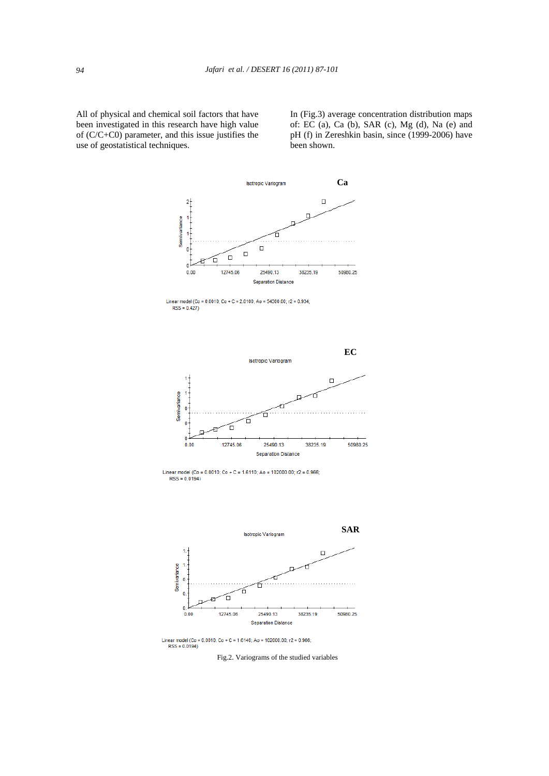All of physical and chemical soil factors that have been investigated in this research have high value of (C/C+C0) parameter, and this issue justifies the use of geostatistical techniques.

In (Fig.3) average concentration distribution maps of: EC (a), Ca (b), SAR (c), Mg (d), Na (e) and pH (f) in Zereshkin basin, since (1999-2006) have been shown.





Linear model (Co = 0.0010; Co + C = 1.6140; Ao = 102000.00; r2 = 0.966;  $RSS = 0.0194$ 

 $\mathbf{0}$ 

Fig.2. Variograms of the studied variables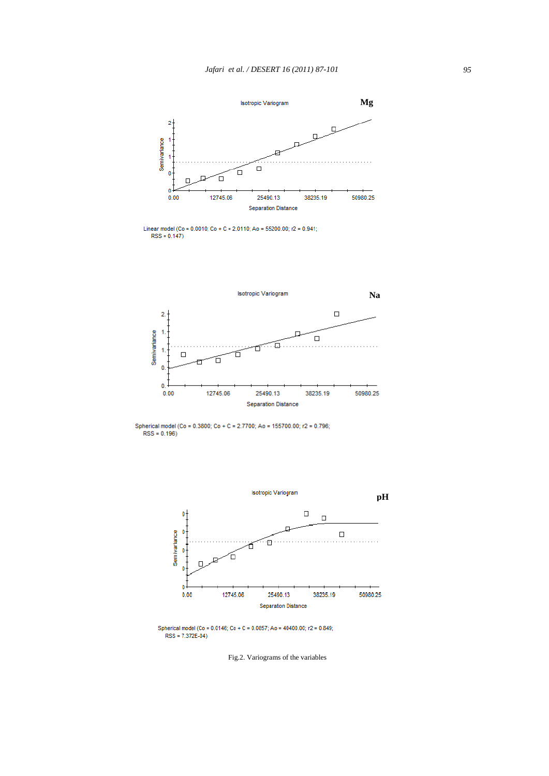

Linear model (Co = 0.0010; Co + C = 2.0110; Ao = 55200.00; r2 = 0.941;<br>RSS = 0.147)



Spherical model (Co = 0.3800; Co + C = 2.7700; Ao = 155700.00; r2 = 0.796;<br>RSS = 0.196)



Spherical model (Co = 0.0146; Co + C = 0.0857; Ao = 40400.00; r2 = 0.849; RSS = 7.372E-04)

Fig.2. Variograms of the variables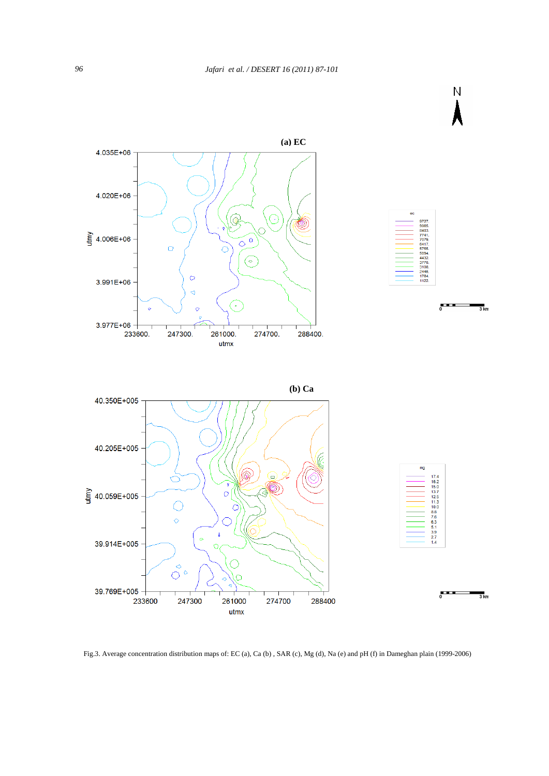

Fig.3. Average concentration distribution maps of: EC (a), Ca (b) , SAR (c), Mg (d), Na (e) and pH (f) in Dameghan plain (1999-2006)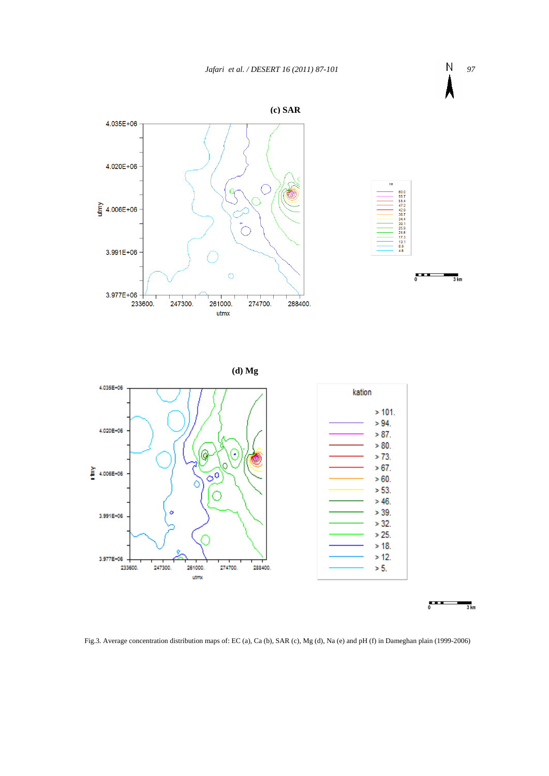

 $\overline{\phantom{a}}$  $\frac{1}{3}$  km

Fig.3. Average concentration distribution maps of: EC (a), Ca (b), SAR (c), Mg (d), Na (e) and pH (f) in Dameghan plain (1999-2006)

utmx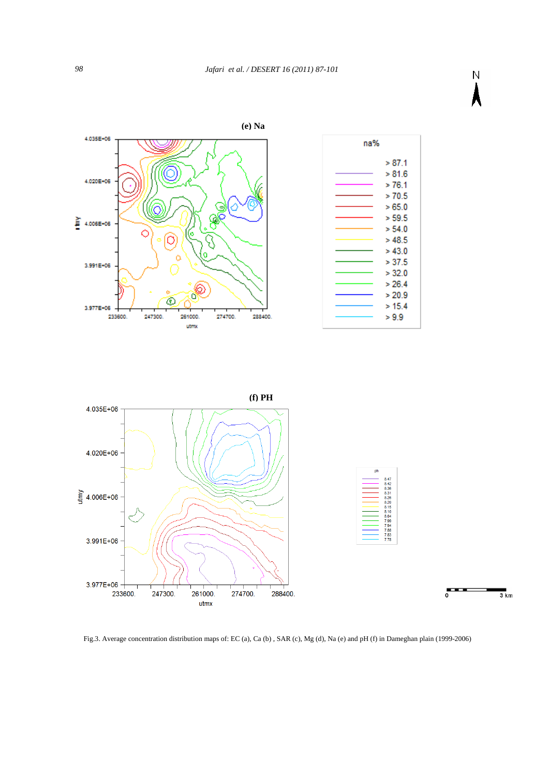

 $> 20.9$ 

 $> 15.4$ 

 $> 9.9$ 





Fig.3. Average concentration distribution maps of: EC (a), Ca (b) , SAR (c), Mg (d), Na (e) and pH (f) in Dameghan plain (1999-2006)

4.035E+06

4.020E+06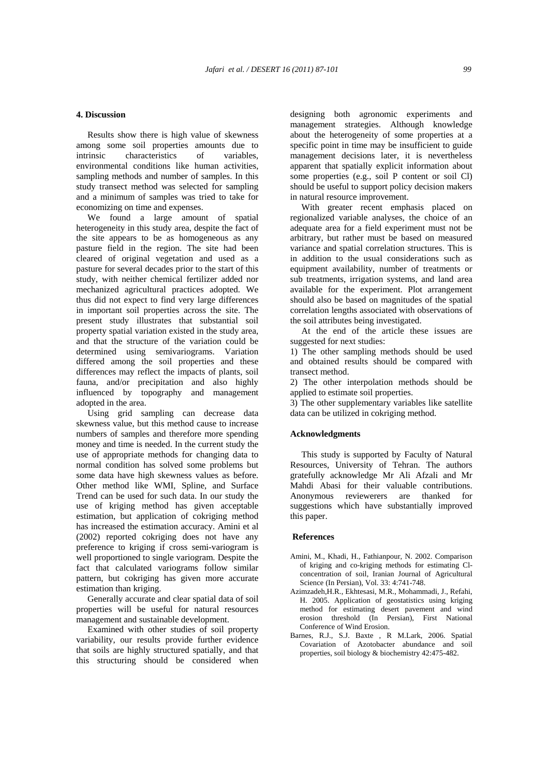## **4. Discussion**

 Results show there is high value of skewness among some soil properties amounts due to intrinsic characteristics of variables, environmental conditions like human activities, sampling methods and number of samples. In this study transect method was selected for sampling and a minimum of samples was tried to take for economizing on time and expenses.

 We found a large amount of spatial heterogeneity in this study area, despite the fact of the site appears to be as homogeneous as any pasture field in the region. The site had been cleared of original vegetation and used as a pasture for several decades prior to the start of this study, with neither chemical fertilizer added nor mechanized agricultural practices adopted. We thus did not expect to find very large differences in important soil properties across the site. The present study illustrates that substantial soil property spatial variation existed in the study area, and that the structure of the variation could be determined using semivariograms. Variation differed among the soil properties and these differences may reflect the impacts of plants, soil fauna, and/or precipitation and also highly influenced by topography and management adopted in the area.

 Using grid sampling can decrease data skewness value, but this method cause to increase numbers of samples and therefore more spending money and time is needed. In the current study the use of appropriate methods for changing data to normal condition has solved some problems but some data have high skewness values as before. Other method like WMI, Spline, and Surface Trend can be used for such data. In our study the use of kriging method has given acceptable estimation, but application of cokriging method has increased the estimation accuracy. Amini et al (2002) reported cokriging does not have any preference to kriging if cross semi-variogram is well proportioned to single variogram. Despite the fact that calculated variograms follow similar pattern, but cokriging has given more accurate estimation than kriging.

 Generally accurate and clear spatial data of soil properties will be useful for natural resources management and sustainable development.

 Examined with other studies of soil property variability, our results provide further evidence that soils are highly structured spatially, and that this structuring should be considered when designing both agronomic experiments and management strategies. Although knowledge about the heterogeneity of some properties at a specific point in time may be insufficient to guide management decisions later, it is nevertheless apparent that spatially explicit information about some properties (e.g., soil P content or soil Cl) should be useful to support policy decision makers in natural resource improvement.

 With greater recent emphasis placed on regionalized variable analyses, the choice of an adequate area for a field experiment must not be arbitrary, but rather must be based on measured variance and spatial correlation structures. This is in addition to the usual considerations such as equipment availability, number of treatments or sub treatments, irrigation systems, and land area available for the experiment. Plot arrangement should also be based on magnitudes of the spatial correlation lengths associated with observations of the soil attributes being investigated.

 At the end of the article these issues are suggested for next studies:

1) The other sampling methods should be used and obtained results should be compared with transect method.

2) The other interpolation methods should be applied to estimate soil properties.

3) The other supplementary variables like satellite data can be utilized in cokriging method.

## **Acknowledgments**

 This study is supported by Faculty of Natural Resources, University of Tehran. The authors gratefully acknowledge Mr Ali Afzali and Mr Mahdi Abasi for their valuable contributions. Anonymous reviewerers are thanked for suggestions which have substantially improved this paper.

## **References**

- Amini, M., Khadi, H., Fathianpour, N. 2002. Comparison of kriging and co-kriging methods for estimating Cl concentration of soil, Iranian Journal of Agricultural Science (In Persian), Vol. 33: 4:741-748.
- Azimzadeh,H.R., Ekhtesasi, M.R., Mohammadi, J., Refahi, H. 2005. Application of geostatistics using kriging method for estimating desert pavement and wind erosion threshold (In Persian), First National Conference of Wind Erosion.
- Barnes, R.J., S.J. Baxte , R M.Lark, 2006. Spatial Covariation of Azotobacter abundance and soil properties, soil biology & biochemistry 42:475-482.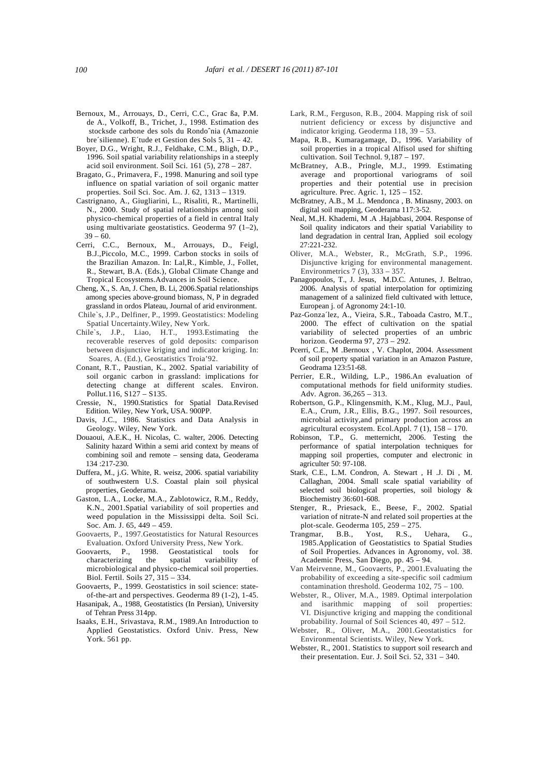- Bernoux, M., Arrouays, D., Cerri, C.C., Grac ßa, P.M. de A., Volkoff, B., Trichet, J., 1998. Estimation des stocksde carbone des sols du Rondoˆnia (Amazonie bre´silienne). E´tude et Gestion des Sols 5, 31 – 42.
- Boyer, D.G., Wright, R.J., Feldhake, C.M., Bligh, D.P., 1996. Soil spatial variability relationships in a steeply acid soil environment. Soil Sci. 161 $(5)$ , 278 – 287.
- Bragato, G., Primavera, F., 1998. Manuring and soil type influence on spatial variation of soil organic matter properties. Soil Sci. Soc. Am. J. 62, 1313 – 1319.
- Castrignano, A., Giugliarini, L., Risaliti, R., Martinelli, N., 2000. Study of spatial relationships among soil physico-chemical properties of a field in central Italy using multivariate geostatistics. Geoderma 97 (1–2),  $39 - 60.$
- Cerri, C.C., Bernoux, M., Arrouays, D., Feigl, B.J.,Piccolo, M.C., 1999. Carbon stocks in soils of the Brazilian Amazon. In: Lal,R., Kimble, J., Follet, R., Stewart, B.A. (Eds.), Global Climate Change and Tropical Ecosystems.Advances in Soil Science.
- Cheng, X., S. An, J. Chen, B. Li, 2006.Spatial relationships among species above-ground biomass, N, P in degraded grassland in ordos Plateau, Journal of arid environment.
- Chile`s, J.P., Delfiner, P., 1999. Geostatistics: Modeling Spatial Uncertainty.Wiley, New York.
- Chile`s, J.P., Liao, H.T., 1993.Estimating the recoverable reserves of gold deposits: comparison between disjunctive kriging and indicator kriging. In: Soares, A. (Ed.), Geostatistics Troia'92.
- Conant, R.T., Paustian, K., 2002. Spatial variability of soil organic carbon in grassland: implications for detecting change at different scales. Environ. Pollut.116, S127 – S135.
- Cressie, N., 1990.Statistics for Spatial Data.Revised Edition. Wiley, New York, USA. 900PP.
- Davis, J.C., 1986. Statistics and Data Analysis in Geology. Wiley, New York.
- Douaoui, A.E.K., H. Nicolas, C. walter, 2006. Detecting Salinity hazard Within a semi arid context by means of combining soil and remote – sensing data, Geoderama 134 :217-230.
- Duffera, M., j.G. White, R. weisz, 2006. spatial variability of southwestern U.S. Coastal plain soil physical properties, Geoderama.
- Gaston, L.A., Locke, M.A., Zablotowicz, R.M., Reddy, K.N., 2001.Spatial variability of soil properties and weed population in the Mississippi delta. Soil Sci. Soc. Am. J. 65, 449 – 459.
- Goovaerts, P., 1997.Geostatistics for Natural Resources Evaluation. Oxford University Press, New York.
- Goovaerts, P., 1998. Geostatistical tools for characterizing the spatial variability of microbiological and physico-chemical soil properties. Biol. Fertil. Soils 27, 315 – 334.
- Goovaerts, P., 1999. Geostatistics in soil science: state of-the-art and perspectives. Geoderma 89 (1-2), 1-45.
- Hasanipak, A., 1988, Geostatistics (In Persian), University of Tehran Press 314pp.
- Isaaks, E.H., Srivastava, R.M., 1989.An Introduction to Applied Geostatistics. Oxford Univ. Press, New York. 561 pp.
- Lark, R.M., Ferguson, R.B., 2004. Mapping risk of soil nutrient deficiency or excess by disjunctive and indicator kriging. Geoderma 118, 39 – 53.
- Mapa, R.B., Kumaragamage, D., 1996. Variability of soil properties in a tropical Alfisol used for shifting cultivation. Soil Technol. 9,187 – 197.
- McBratney, A.B., Pringle, M.J., 1999. Estimating average and proportional variograms of soil properties and their potential use in precision agriculture. Prec. Agric. 1, 125 – 152.
- McBratney, A.B., M .L. Mendonca , B. Minasny, 2003. on digital soil mapping, Geoderama 117:3-52.
- Neal, M.,H. Khademi, M .A .Hajabbasi, 2004. Response of Soil quality indicators and their spatial Variability to land degradation in central Iran, Applied soil ecology 27:221-232.
- Oliver, M.A., Webster, R., McGrath, S.P., 1996. Disjunctive kriging for environmental management. Environmetrics 7 (3), 333 – 357.
- Panagopoulos, T., J. Jesus, M.D.C. Antunes, J. Beltrao, 2006. Analysis of spatial interpolation for optimizing management of a salinized field cultivated with lettuce, European j. of Agronomy 24:1-10.
- Paz-Gonza´lez, A., Vieira, S.R., Taboada Castro, M.T., 2000. The effect of cultivation on the spatial variability of selected properties of an umbric horizon. Geoderma 97, 273 – 292.
- Pcerri, C.E., M .Bernoux , V. Chaplot, 2004. Assessment of soil property spatial variation in an Amazon Pasture, Geodrama 123:51-68.
- Perrier, E.R., Wilding, L.P., 1986.An evaluation of computational methods for field uniformity studies. Adv. Agron. 36,265 – 313.
- Robertson, G.P., Klingensmith, K.M., Klug, M.J., Paul, E.A., Crum, J.R., Ellis, B.G., 1997. Soil resources, microbial activity,and primary production across an agricultural ecosystem. Ecol.Appl. 7 (1), 158 – 170.
- Robinson, T.P., G. metternicht, 2006. Testing the performance of spatial interpolation techniques for mapping soil properties, computer and electronic in agriculter 50: 97-108.
- Stark, C.E., L.M. Condron, A. Stewart , H .J. Di , M. Callaghan, 2004. Small scale spatial variability of selected soil biological properties, soil biology & Biochemistry 36:601-608.
- Stenger, R., Priesack, E., Beese, F., 2002. Spatial variation of nitrate-N and related soil properties at the plot-scale. Geoderma 105, 259 – 275.<br>angmar, B.B., Yost, R.S.,
- Trangmar, B.B., Yost, R.S., Uehara, G., 1985.Application of Geostatistics to Spatial Studies of Soil Properties. Advances in Agronomy, vol. 38. Academic Press, San Diego, pp. 45 – 94.
- Van Meirvenne, M., Goovaerts, P., 2001.Evaluating the probability of exceeding a site-specific soil cadmium contamination threshold. Geoderma 102, 75 – 100.
- Webster, R., Oliver, M.A., 1989. Optimal interpolation and isarithmic mapping of soil properties: VI. Disjunctive kriging and mapping the conditional probability. Journal of Soil Sciences 40, 497 – 512.
- Webster, R., Oliver, M.A., 2001.Geostatistics for Environmental Scientists. Wiley, New York.
- Webster, R., 2001. Statistics to support soil research and their presentation. Eur. J. Soil Sci. 52, 331 – 340.